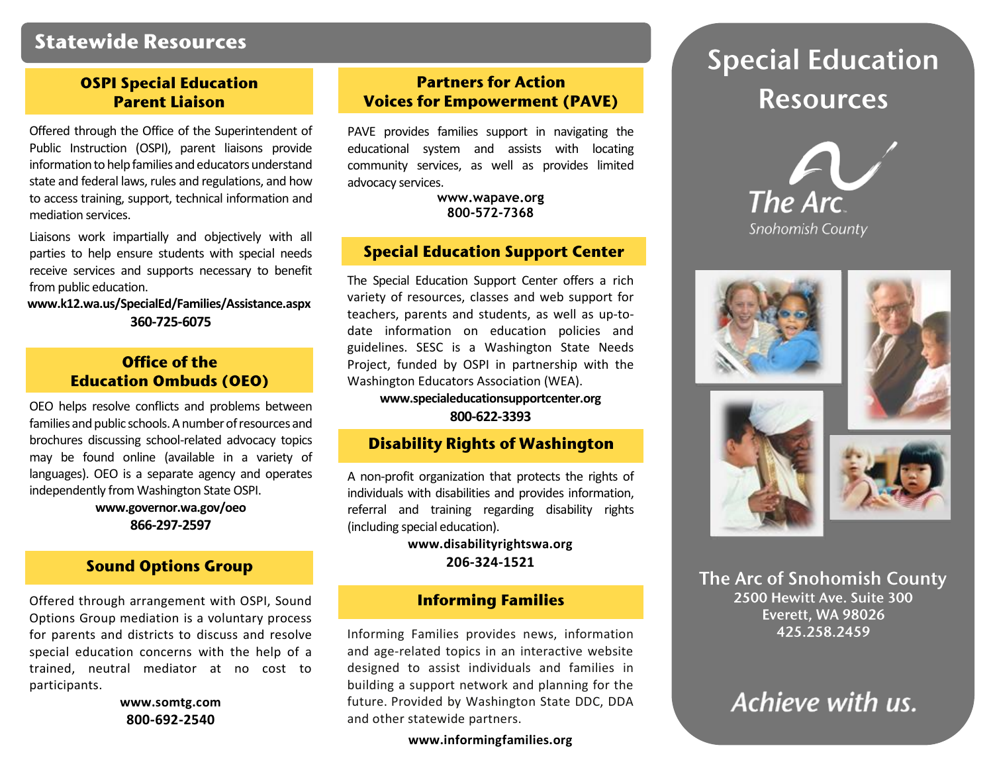### **Statewide Resources**

### **OSPI Special Education Parent Liaison**

Offered through the Office of the Superintendent of Public Instruction (OSPI), parent liaisons provide information to help families and educators understand state and federal laws, rules and regulations, and how to access training, support, technical information and mediation services.

Liaisons work impartially and objectively with all parties to help ensure students with special needs receive services and supports necessary to benefit from public education.

 **[www.k12.wa.us/SpecialEd/Families/Assistance.aspx](http://www.k12.wa.us/SpecialEd/Families/Assistance.aspx) 360-725-6075**

### **Office of the Education Ombuds (OEO)**

OEO helps resolve conflicts and problems between families and public schools. A number of resources and brochures discussing school-related advocacy topics may be found online (available in a variety of languages). OEO is a separate agency and operates independently from Washington State OSPI.

> **[www.governor.wa.gov/oeo](http://www.governor.wa.gov/oeo) 866-297-2597**

### **Sound Options Group**

Offered through arrangement with OSPI, Sound Options Group mediation is a voluntary process for parents and districts to discuss and resolve special education concerns with the help of a trained, neutral mediator at no cost to participants.

> **www.somtg.com 800-692-2540**

### **Partners for Action Voices for Empowerment (PAVE)**

PAVE provides families support in navigating the educational system and assists with locating community services, as well as provides limited advocacy services.

> **[www.wapave.org](http://www.wapave.org/) 800-572-7368**

#### **Special Education Support Center**

The Special Education Support Center offers a rich variety of resources, classes and web support for teachers, parents and students, as well as up-todate information on education policies and guidelines. SESC is a Washington State Needs Project, funded by OSPI in partnership with the Washington Educators Association (WEA).

**[www.specialeducationsupportcenter.org](http://www.specialeducationsupportcenter.org/) 800-622-3393**

### **Disability Rights of Washington**

A non-profit organization that protects the rights of individuals with disabilities and provides information, referral and training regarding disability rights (including special education).

> **www.disabilityrightswa.org 206-324-1521**

### **Informing Families**

Informing Families provides news, information and age-related topics in an interactive website designed to assist individuals and families in building a support network and planning for the future. Provided by Washington State DDC, DDA and other statewide partners.

**[www.informingf](http://www.informing/)amilies.org**

# **Special Education Resources**











The Arc of Snohomish County 2500 Hewitt Ave. Suite 300 Everett, WA 98026 425.258.2459

## Achieve with us.